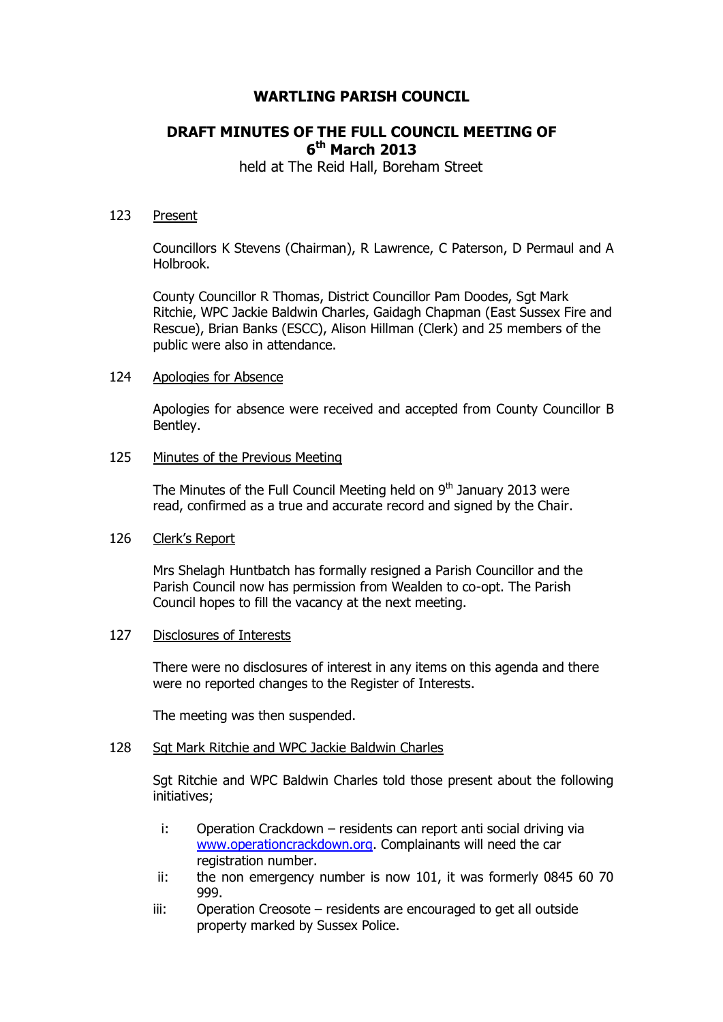# **WARTLING PARISH COUNCIL**

# **DRAFT MINUTES OF THE FULL COUNCIL MEETING OF 6 th March 2013**

held at The Reid Hall, Boreham Street

### 123 Present

Councillors K Stevens (Chairman), R Lawrence, C Paterson, D Permaul and A Holbrook.

County Councillor R Thomas, District Councillor Pam Doodes, Sgt Mark Ritchie, WPC Jackie Baldwin Charles, Gaidagh Chapman (East Sussex Fire and Rescue), Brian Banks (ESCC), Alison Hillman (Clerk) and 25 members of the public were also in attendance.

#### 124 Apologies for Absence

Apologies for absence were received and accepted from County Councillor B Bentley.

### 125 Minutes of the Previous Meeting

The Minutes of the Full Council Meeting held on  $9<sup>th</sup>$  January 2013 were read, confirmed as a true and accurate record and signed by the Chair.

# 126 Clerk's Report

Mrs Shelagh Huntbatch has formally resigned a Parish Councillor and the Parish Council now has permission from Wealden to co-opt. The Parish Council hopes to fill the vacancy at the next meeting.

#### 127 Disclosures of Interests

There were no disclosures of interest in any items on this agenda and there were no reported changes to the Register of Interests.

The meeting was then suspended.

# 128 Sgt Mark Ritchie and WPC Jackie Baldwin Charles

Sgt Ritchie and WPC Baldwin Charles told those present about the following initiatives;

- i: Operation Crackdown residents can report anti social driving via [www.operationcrackdown.org.](http://www.operationcrackdown.org/) Complainants will need the car registration number.
- ii: the non emergency number is now 101, it was formerly 0845 60 70 999.
- iii: Operation Creosote residents are encouraged to get all outside property marked by Sussex Police.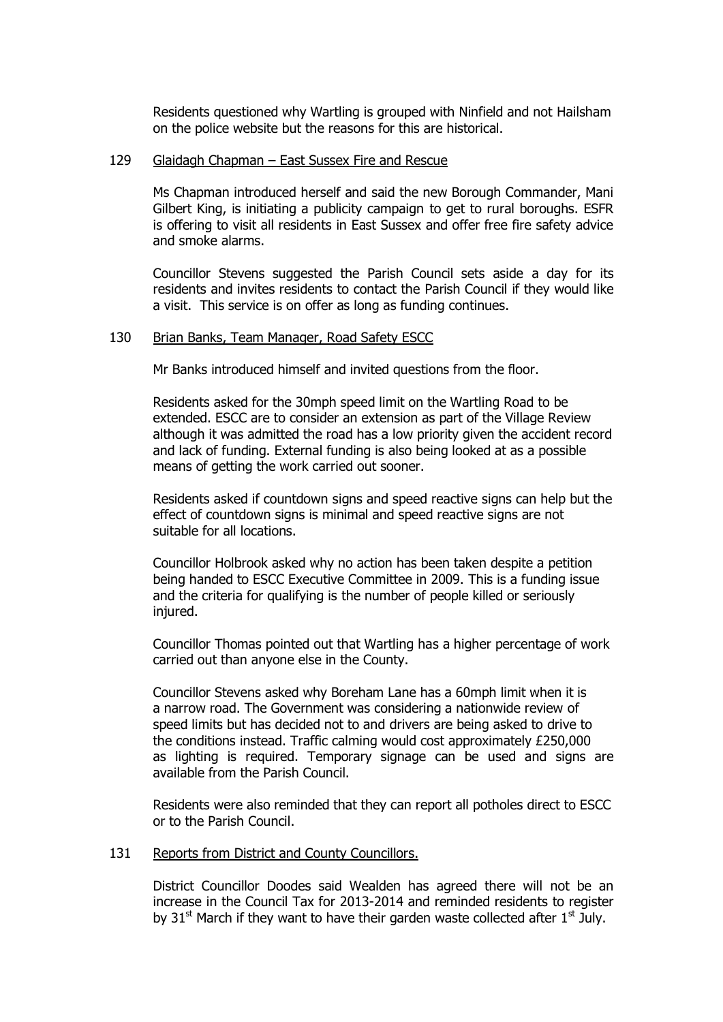Residents questioned why Wartling is grouped with Ninfield and not Hailsham on the police website but the reasons for this are historical.

# 129 Glaidagh Chapman – East Sussex Fire and Rescue

Ms Chapman introduced herself and said the new Borough Commander, Mani Gilbert King, is initiating a publicity campaign to get to rural boroughs. ESFR is offering to visit all residents in East Sussex and offer free fire safety advice and smoke alarms.

Councillor Stevens suggested the Parish Council sets aside a day for its residents and invites residents to contact the Parish Council if they would like a visit. This service is on offer as long as funding continues.

### 130 Brian Banks, Team Manager, Road Safety ESCC

Mr Banks introduced himself and invited questions from the floor.

Residents asked for the 30mph speed limit on the Wartling Road to be extended. ESCC are to consider an extension as part of the Village Review although it was admitted the road has a low priority given the accident record and lack of funding. External funding is also being looked at as a possible means of getting the work carried out sooner.

Residents asked if countdown signs and speed reactive signs can help but the effect of countdown signs is minimal and speed reactive signs are not suitable for all locations.

Councillor Holbrook asked why no action has been taken despite a petition being handed to ESCC Executive Committee in 2009. This is a funding issue and the criteria for qualifying is the number of people killed or seriously injured.

Councillor Thomas pointed out that Wartling has a higher percentage of work carried out than anyone else in the County.

Councillor Stevens asked why Boreham Lane has a 60mph limit when it is a narrow road. The Government was considering a nationwide review of speed limits but has decided not to and drivers are being asked to drive to the conditions instead. Traffic calming would cost approximately £250,000 as lighting is required. Temporary signage can be used and signs are available from the Parish Council.

Residents were also reminded that they can report all potholes direct to ESCC or to the Parish Council.

#### 131 Reports from District and County Councillors.

District Councillor Doodes said Wealden has agreed there will not be an increase in the Council Tax for 2013-2014 and reminded residents to register by 31<sup>st</sup> March if they want to have their garden waste collected after  $1<sup>st</sup>$  July.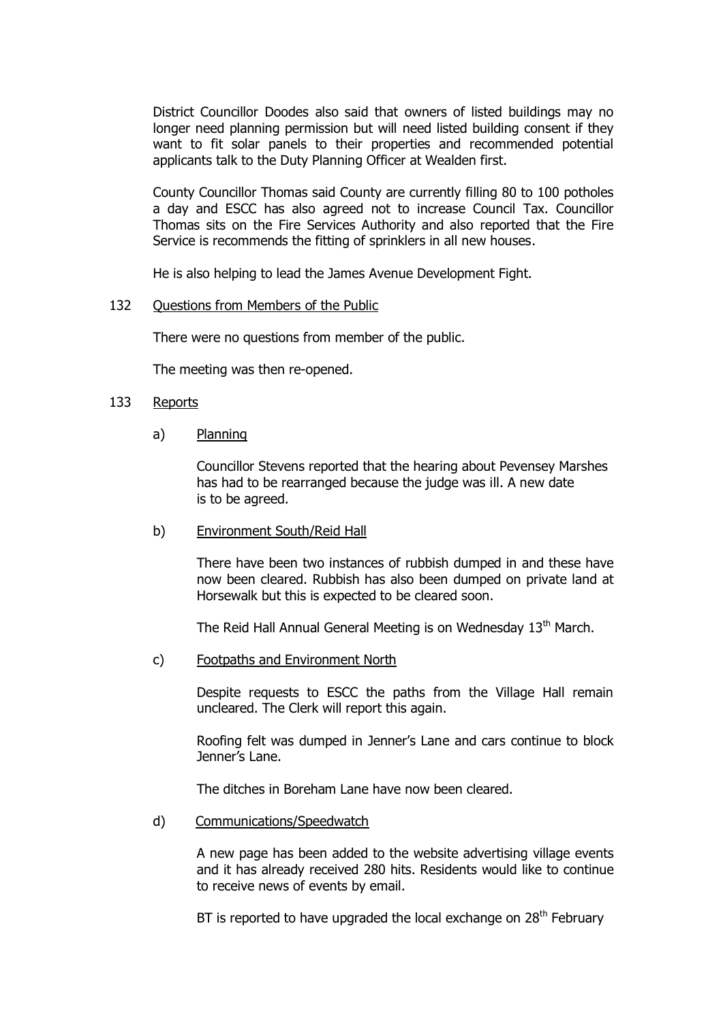District Councillor Doodes also said that owners of listed buildings may no longer need planning permission but will need listed building consent if they want to fit solar panels to their properties and recommended potential applicants talk to the Duty Planning Officer at Wealden first.

County Councillor Thomas said County are currently filling 80 to 100 potholes a day and ESCC has also agreed not to increase Council Tax. Councillor Thomas sits on the Fire Services Authority and also reported that the Fire Service is recommends the fitting of sprinklers in all new houses.

He is also helping to lead the James Avenue Development Fight.

#### 132 Questions from Members of the Public

There were no questions from member of the public.

The meeting was then re-opened.

### 133 Reports

a) Planning

Councillor Stevens reported that the hearing about Pevensey Marshes has had to be rearranged because the judge was ill. A new date is to be agreed.

b) Environment South/Reid Hall

There have been two instances of rubbish dumped in and these have now been cleared. Rubbish has also been dumped on private land at Horsewalk but this is expected to be cleared soon.

The Reid Hall Annual General Meeting is on Wednesday 13<sup>th</sup> March.

c) Footpaths and Environment North

Despite requests to ESCC the paths from the Village Hall remain uncleared. The Clerk will report this again.

Roofing felt was dumped in Jenner's Lane and cars continue to block Jenner's Lane.

The ditches in Boreham Lane have now been cleared.

d) Communications/Speedwatch

A new page has been added to the website advertising village events and it has already received 280 hits. Residents would like to continue to receive news of events by email.

BT is reported to have upgraded the local exchange on  $28<sup>th</sup>$  February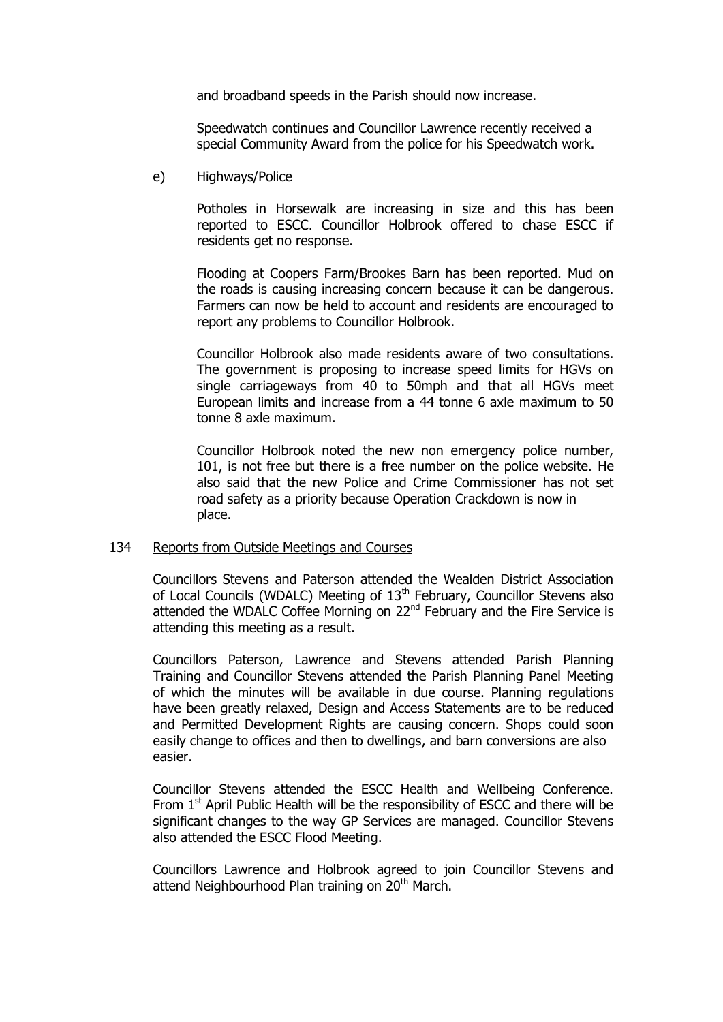and broadband speeds in the Parish should now increase.

Speedwatch continues and Councillor Lawrence recently received a special Community Award from the police for his Speedwatch work.

e) Highways/Police

Potholes in Horsewalk are increasing in size and this has been reported to ESCC. Councillor Holbrook offered to chase ESCC if residents get no response.

Flooding at Coopers Farm/Brookes Barn has been reported. Mud on the roads is causing increasing concern because it can be dangerous. Farmers can now be held to account and residents are encouraged to report any problems to Councillor Holbrook.

Councillor Holbrook also made residents aware of two consultations. The government is proposing to increase speed limits for HGVs on single carriageways from 40 to 50mph and that all HGVs meet European limits and increase from a 44 tonne 6 axle maximum to 50 tonne 8 axle maximum.

Councillor Holbrook noted the new non emergency police number, 101, is not free but there is a free number on the police website. He also said that the new Police and Crime Commissioner has not set road safety as a priority because Operation Crackdown is now in place.

# 134 Reports from Outside Meetings and Courses

Councillors Stevens and Paterson attended the Wealden District Association of Local Councils (WDALC) Meeting of 13<sup>th</sup> February, Councillor Stevens also attended the WDALC Coffee Morning on 22<sup>nd</sup> February and the Fire Service is attending this meeting as a result.

Councillors Paterson, Lawrence and Stevens attended Parish Planning Training and Councillor Stevens attended the Parish Planning Panel Meeting of which the minutes will be available in due course. Planning regulations have been greatly relaxed, Design and Access Statements are to be reduced and Permitted Development Rights are causing concern. Shops could soon easily change to offices and then to dwellings, and barn conversions are also easier.

Councillor Stevens attended the ESCC Health and Wellbeing Conference. From  $1<sup>st</sup>$  April Public Health will be the responsibility of ESCC and there will be significant changes to the way GP Services are managed. Councillor Stevens also attended the ESCC Flood Meeting.

Councillors Lawrence and Holbrook agreed to join Councillor Stevens and attend Neighbourhood Plan training on 20<sup>th</sup> March.